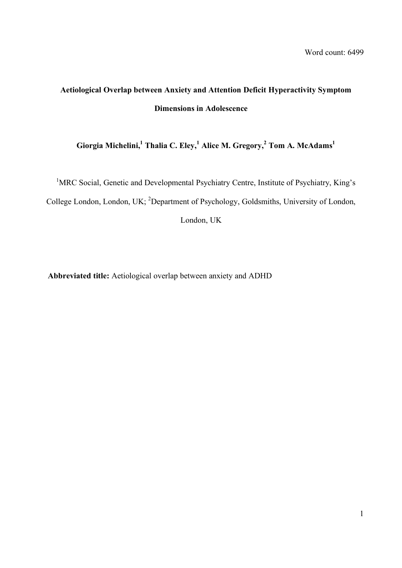# **Aetiological Overlap between Anxiety and Attention Deficit Hyperactivity Symptom Dimensions in Adolescence**

## **Giorgia Michelini, 1 Thalia C. Eley,<sup>1</sup> Alice M. Gregory,<sup>2</sup> Tom A. McAdams1**

<sup>1</sup>MRC Social, Genetic and Developmental Psychiatry Centre, Institute of Psychiatry, King's College London, London, UK; <sup>2</sup>Department of Psychology, Goldsmiths, University of London,

## London, UK

**Abbreviated title:** Aetiological overlap between anxiety and ADHD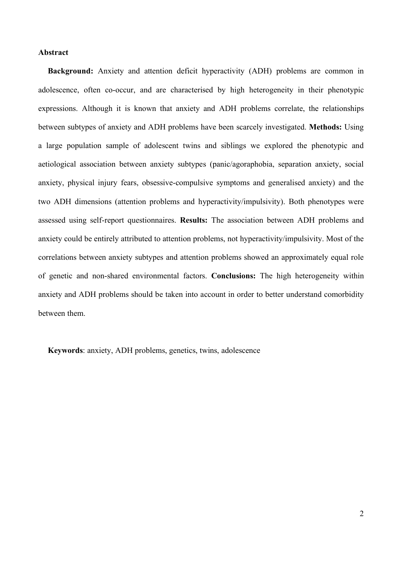#### **Abstract**

**Background:** Anxiety and attention deficit hyperactivity (ADH) problems are common in adolescence, often co-occur, and are characterised by high heterogeneity in their phenotypic expressions. Although it is known that anxiety and ADH problems correlate, the relationships between subtypes of anxiety and ADH problems have been scarcely investigated. **Methods:** Using a large population sample of adolescent twins and siblings we explored the phenotypic and aetiological association between anxiety subtypes (panic/agoraphobia, separation anxiety, social anxiety, physical injury fears, obsessive-compulsive symptoms and generalised anxiety) and the two ADH dimensions (attention problems and hyperactivity/impulsivity). Both phenotypes were assessed using self-report questionnaires. **Results:** The association between ADH problems and anxiety could be entirely attributed to attention problems, not hyperactivity/impulsivity. Most of the correlations between anxiety subtypes and attention problems showed an approximately equal role of genetic and non-shared environmental factors. **Conclusions:** The high heterogeneity within anxiety and ADH problems should be taken into account in order to better understand comorbidity between them.

**Keywords**: anxiety, ADH problems, genetics, twins, adolescence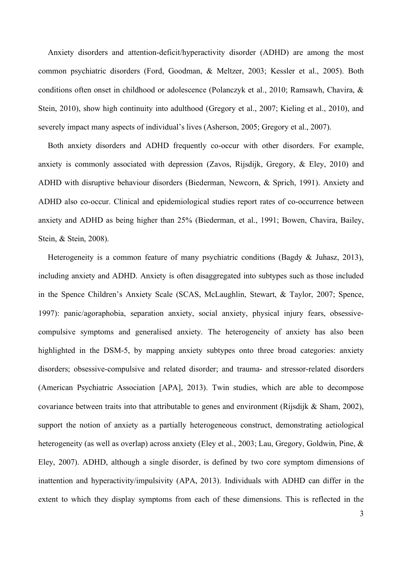Anxiety disorders and attention-deficit/hyperactivity disorder (ADHD) are among the most common psychiatric disorders (Ford, Goodman, & Meltzer, 2003; Kessler et al., 2005). Both conditions often onset in childhood or adolescence (Polanczyk et al., 2010; Ramsawh, Chavira, & Stein, 2010), show high continuity into adulthood (Gregory et al., 2007; Kieling et al., 2010), and severely impact many aspects of individual's lives (Asherson, 2005; Gregory et al., 2007).

Both anxiety disorders and ADHD frequently co-occur with other disorders. For example, anxiety is commonly associated with depression (Zavos, Rijsdijk, Gregory, & Eley, 2010) and ADHD with disruptive behaviour disorders (Biederman, Newcorn, & Sprich, 1991). Anxiety and ADHD also co-occur. Clinical and epidemiological studies report rates of co-occurrence between anxiety and ADHD as being higher than 25% (Biederman, et al., 1991; Bowen, Chavira, Bailey, Stein, & Stein, 2008).

Heterogeneity is a common feature of many psychiatric conditions (Bagdy & Juhasz, 2013), including anxiety and ADHD. Anxiety is often disaggregated into subtypes such as those included in the Spence Children's Anxiety Scale (SCAS, McLaughlin, Stewart, & Taylor, 2007; Spence, 1997): panic/agoraphobia, separation anxiety, social anxiety, physical injury fears, obsessivecompulsive symptoms and generalised anxiety. The heterogeneity of anxiety has also been highlighted in the DSM-5, by mapping anxiety subtypes onto three broad categories: anxiety disorders; obsessive-compulsive and related disorder; and trauma- and stressor-related disorders (American Psychiatric Association [APA], 2013). Twin studies, which are able to decompose covariance between traits into that attributable to genes and environment (Rijsdijk & Sham, 2002), support the notion of anxiety as a partially heterogeneous construct, demonstrating aetiological heterogeneity (as well as overlap) across anxiety (Eley et al., 2003; Lau, Gregory, Goldwin, Pine, & Eley, 2007). ADHD, although a single disorder, is defined by two core symptom dimensions of inattention and hyperactivity/impulsivity (APA, 2013). Individuals with ADHD can differ in the extent to which they display symptoms from each of these dimensions. This is reflected in the

3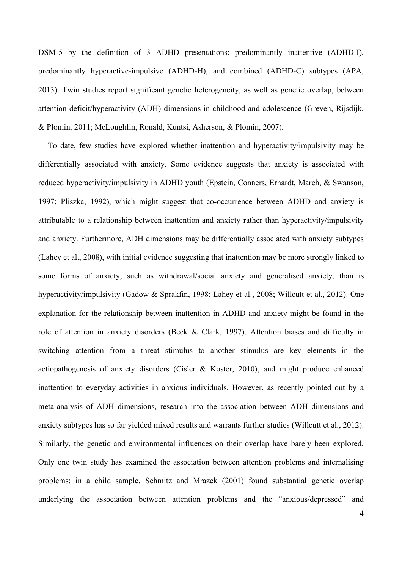DSM-5 by the definition of 3 ADHD presentations: predominantly inattentive (ADHD-I), predominantly hyperactive-impulsive (ADHD-H), and combined (ADHD-C) subtypes (APA, 2013). Twin studies report significant genetic heterogeneity, as well as genetic overlap, between attention-deficit/hyperactivity (ADH) dimensions in childhood and adolescence (Greven, Rijsdijk, & Plomin, 2011; McLoughlin, Ronald, Kuntsi, Asherson, & Plomin, 2007).

To date, few studies have explored whether inattention and hyperactivity/impulsivity may be differentially associated with anxiety. Some evidence suggests that anxiety is associated with reduced hyperactivity/impulsivity in ADHD youth (Epstein, Conners, Erhardt, March, & Swanson, 1997; Pliszka, 1992), which might suggest that co-occurrence between ADHD and anxiety is attributable to a relationship between inattention and anxiety rather than hyperactivity/impulsivity and anxiety. Furthermore, ADH dimensions may be differentially associated with anxiety subtypes (Lahey et al., 2008), with initial evidence suggesting that inattention may be more strongly linked to some forms of anxiety, such as withdrawal/social anxiety and generalised anxiety, than is hyperactivity/impulsivity (Gadow & Sprakfin, 1998; Lahey et al., 2008; Willcutt et al., 2012). One explanation for the relationship between inattention in ADHD and anxiety might be found in the role of attention in anxiety disorders (Beck & Clark, 1997). Attention biases and difficulty in switching attention from a threat stimulus to another stimulus are key elements in the aetiopathogenesis of anxiety disorders (Cisler & Koster, 2010), and might produce enhanced inattention to everyday activities in anxious individuals. However, as recently pointed out by a meta-analysis of ADH dimensions, research into the association between ADH dimensions and anxiety subtypes has so far yielded mixed results and warrants further studies (Willcutt et al., 2012). Similarly, the genetic and environmental influences on their overlap have barely been explored. Only one twin study has examined the association between attention problems and internalising problems: in a child sample, Schmitz and Mrazek (2001) found substantial genetic overlap underlying the association between attention problems and the "anxious/depressed" and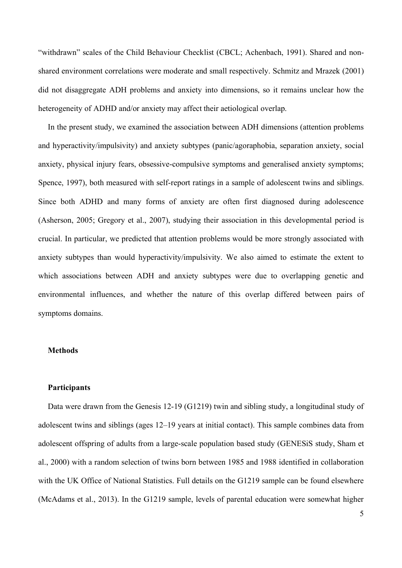"withdrawn" scales of the Child Behaviour Checklist (CBCL; Achenbach, 1991). Shared and nonshared environment correlations were moderate and small respectively. Schmitz and Mrazek (2001) did not disaggregate ADH problems and anxiety into dimensions, so it remains unclear how the heterogeneity of ADHD and/or anxiety may affect their aetiological overlap.

In the present study, we examined the association between ADH dimensions (attention problems and hyperactivity/impulsivity) and anxiety subtypes (panic/agoraphobia, separation anxiety, social anxiety, physical injury fears, obsessive-compulsive symptoms and generalised anxiety symptoms; Spence, 1997), both measured with self-report ratings in a sample of adolescent twins and siblings. Since both ADHD and many forms of anxiety are often first diagnosed during adolescence (Asherson, 2005; Gregory et al., 2007), studying their association in this developmental period is crucial. In particular, we predicted that attention problems would be more strongly associated with anxiety subtypes than would hyperactivity/impulsivity. We also aimed to estimate the extent to which associations between ADH and anxiety subtypes were due to overlapping genetic and environmental influences, and whether the nature of this overlap differed between pairs of symptoms domains.

## **Methods**

#### **Participants**

Data were drawn from the Genesis 12-19 (G1219) twin and sibling study, a longitudinal study of adolescent twins and siblings (ages 12–19 years at initial contact). This sample combines data from adolescent offspring of adults from a large-scale population based study (GENESiS study, Sham et al., 2000) with a random selection of twins born between 1985 and 1988 identified in collaboration with the UK Office of National Statistics. Full details on the G1219 sample can be found elsewhere (McAdams et al., 2013). In the G1219 sample, levels of parental education were somewhat higher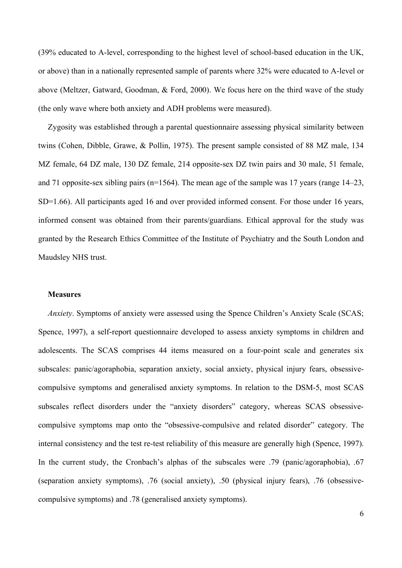(39% educated to A-level, corresponding to the highest level of school-based education in the UK, or above) than in a nationally represented sample of parents where 32% were educated to A-level or above (Meltzer, Gatward, Goodman, & Ford, 2000). We focus here on the third wave of the study (the only wave where both anxiety and ADH problems were measured).

Zygosity was established through a parental questionnaire assessing physical similarity between twins (Cohen, Dibble, Grawe, & Pollin, 1975). The present sample consisted of 88 MZ male, 134 MZ female, 64 DZ male, 130 DZ female, 214 opposite-sex DZ twin pairs and 30 male, 51 female, and 71 opposite-sex sibling pairs (n=1564). The mean age of the sample was 17 years (range 14–23, SD=1.66). All participants aged 16 and over provided informed consent. For those under 16 years, informed consent was obtained from their parents/guardians. Ethical approval for the study was granted by the Research Ethics Committee of the Institute of Psychiatry and the South London and Maudsley NHS trust.

#### **Measures**

*Anxiety*. Symptoms of anxiety were assessed using the Spence Children's Anxiety Scale (SCAS; Spence, 1997), a self-report questionnaire developed to assess anxiety symptoms in children and adolescents. The SCAS comprises 44 items measured on a four-point scale and generates six subscales: panic/agoraphobia, separation anxiety, social anxiety, physical injury fears, obsessivecompulsive symptoms and generalised anxiety symptoms. In relation to the DSM-5, most SCAS subscales reflect disorders under the "anxiety disorders" category, whereas SCAS obsessivecompulsive symptoms map onto the "obsessive-compulsive and related disorder" category. The internal consistency and the test re-test reliability of this measure are generally high (Spence, 1997). In the current study, the Cronbach's alphas of the subscales were .79 (panic/agoraphobia), .67 (separation anxiety symptoms), .76 (social anxiety), .50 (physical injury fears), .76 (obsessivecompulsive symptoms) and .78 (generalised anxiety symptoms).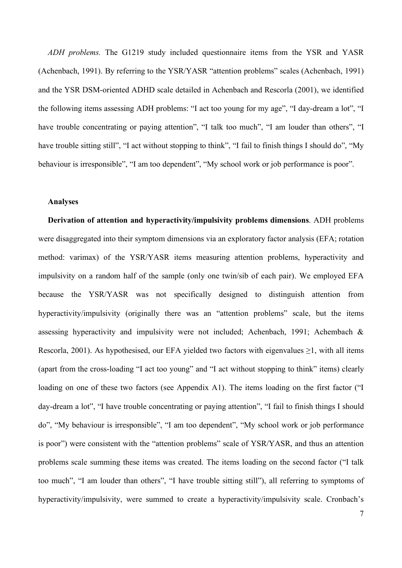*ADH problems.* The G1219 study included questionnaire items from the YSR and YASR (Achenbach, 1991). By referring to the YSR/YASR "attention problems" scales (Achenbach, 1991) and the YSR DSM-oriented ADHD scale detailed in Achenbach and Rescorla (2001), we identified the following items assessing ADH problems: "I act too young for my age", "I day-dream a lot", "I have trouble concentrating or paying attention", "I talk too much", "I am louder than others", "I have trouble sitting still", "I act without stopping to think", "I fail to finish things I should do", "My behaviour is irresponsible", "I am too dependent", "My school work or job performance is poor".

#### **Analyses**

**Derivation of attention and hyperactivity/impulsivity problems dimensions**. ADH problems were disaggregated into their symptom dimensions via an exploratory factor analysis (EFA; rotation method: varimax) of the YSR/YASR items measuring attention problems, hyperactivity and impulsivity on a random half of the sample (only one twin/sib of each pair). We employed EFA because the YSR/YASR was not specifically designed to distinguish attention from hyperactivity/impulsivity (originally there was an "attention problems" scale, but the items assessing hyperactivity and impulsivity were not included; Achenbach, 1991; Achembach & Rescorla, 2001). As hypothesised, our EFA yielded two factors with eigenvalues  $\geq$ 1, with all items (apart from the cross-loading "I act too young" and "I act without stopping to think" items) clearly loading on one of these two factors (see Appendix A1). The items loading on the first factor ("I day-dream a lot", "I have trouble concentrating or paying attention", "I fail to finish things I should do", "My behaviour is irresponsible", "I am too dependent", "My school work or job performance is poor") were consistent with the "attention problems" scale of YSR/YASR, and thus an attention problems scale summing these items was created. The items loading on the second factor ("I talk too much", "I am louder than others", "I have trouble sitting still"), all referring to symptoms of hyperactivity/impulsivity, were summed to create a hyperactivity/impulsivity scale. Cronbach's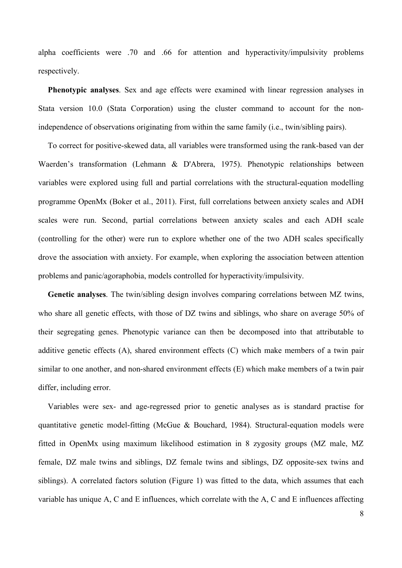alpha coefficients were .70 and .66 for attention and hyperactivity/impulsivity problems respectively.

**Phenotypic analyses**. Sex and age effects were examined with linear regression analyses in Stata version 10.0 (Stata Corporation) using the cluster command to account for the nonindependence of observations originating from within the same family (i.e., twin/sibling pairs).

To correct for positive-skewed data, all variables were transformed using the rank-based van der Waerden's transformation (Lehmann & D'Abrera, 1975). Phenotypic relationships between variables were explored using full and partial correlations with the structural-equation modelling programme OpenMx (Boker et al., 2011). First, full correlations between anxiety scales and ADH scales were run. Second, partial correlations between anxiety scales and each ADH scale (controlling for the other) were run to explore whether one of the two ADH scales specifically drove the association with anxiety. For example, when exploring the association between attention problems and panic/agoraphobia, models controlled for hyperactivity/impulsivity.

**Genetic analyses**. The twin/sibling design involves comparing correlations between MZ twins, who share all genetic effects, with those of DZ twins and siblings, who share on average 50% of their segregating genes. Phenotypic variance can then be decomposed into that attributable to additive genetic effects (A), shared environment effects (C) which make members of a twin pair similar to one another, and non-shared environment effects (E) which make members of a twin pair differ, including error.

Variables were sex- and age-regressed prior to genetic analyses as is standard practise for quantitative genetic model-fitting (McGue & Bouchard, 1984). Structural-equation models were fitted in OpenMx using maximum likelihood estimation in 8 zygosity groups (MZ male, MZ female, DZ male twins and siblings, DZ female twins and siblings, DZ opposite-sex twins and siblings). A correlated factors solution (Figure 1) was fitted to the data, which assumes that each variable has unique A, C and E influences, which correlate with the A, C and E influences affecting

8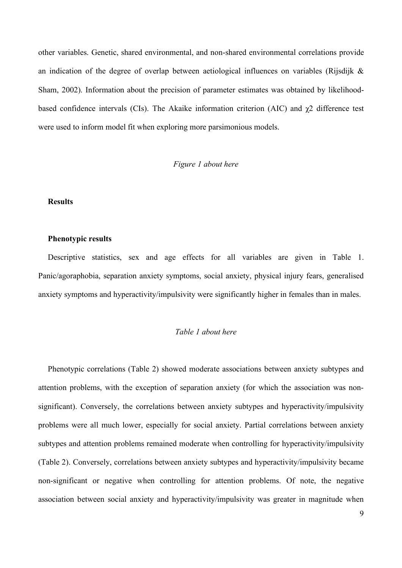other variables. Genetic, shared environmental, and non-shared environmental correlations provide an indication of the degree of overlap between aetiological influences on variables (Rijsdijk & Sham, 2002). Information about the precision of parameter estimates was obtained by likelihoodbased confidence intervals (CIs). The Akaike information criterion (AIC) and  $\chi$ 2 difference test were used to inform model fit when exploring more parsimonious models.

#### *Figure 1 about here*

### **Results**

#### **Phenotypic results**

Descriptive statistics, sex and age effects for all variables are given in Table 1. Panic/agoraphobia, separation anxiety symptoms, social anxiety, physical injury fears, generalised anxiety symptoms and hyperactivity/impulsivity were significantly higher in females than in males.

#### *Table 1 about here*

Phenotypic correlations (Table 2) showed moderate associations between anxiety subtypes and attention problems, with the exception of separation anxiety (for which the association was nonsignificant). Conversely, the correlations between anxiety subtypes and hyperactivity/impulsivity problems were all much lower, especially for social anxiety. Partial correlations between anxiety subtypes and attention problems remained moderate when controlling for hyperactivity/impulsivity (Table 2). Conversely, correlations between anxiety subtypes and hyperactivity/impulsivity became non-significant or negative when controlling for attention problems. Of note, the negative association between social anxiety and hyperactivity/impulsivity was greater in magnitude when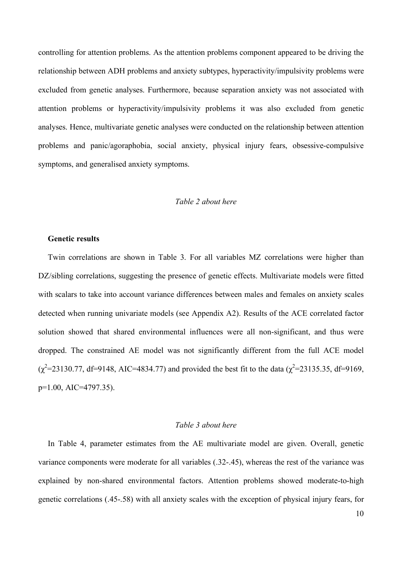controlling for attention problems. As the attention problems component appeared to be driving the relationship between ADH problems and anxiety subtypes, hyperactivity/impulsivity problems were excluded from genetic analyses. Furthermore, because separation anxiety was not associated with attention problems or hyperactivity/impulsivity problems it was also excluded from genetic analyses. Hence, multivariate genetic analyses were conducted on the relationship between attention problems and panic/agoraphobia, social anxiety, physical injury fears, obsessive-compulsive symptoms, and generalised anxiety symptoms.

#### *Table 2 about here*

#### **Genetic results**

Twin correlations are shown in Table 3. For all variables MZ correlations were higher than DZ/sibling correlations, suggesting the presence of genetic effects. Multivariate models were fitted with scalars to take into account variance differences between males and females on anxiety scales detected when running univariate models (see Appendix A2). Results of the ACE correlated factor solution showed that shared environmental influences were all non-significant, and thus were dropped. The constrained AE model was not significantly different from the full ACE model  $(\chi^2 = 23130.77, df = 9148, AIC = 4834.77)$  and provided the best fit to the data  $(\chi^2 = 23135.35, df = 9169,$ p=1.00, AIC=4797.35).

#### *Table 3 about here*

In Table 4, parameter estimates from the AE multivariate model are given. Overall, genetic variance components were moderate for all variables (.32-.45), whereas the rest of the variance was explained by non-shared environmental factors. Attention problems showed moderate-to-high genetic correlations (.45-.58) with all anxiety scales with the exception of physical injury fears, for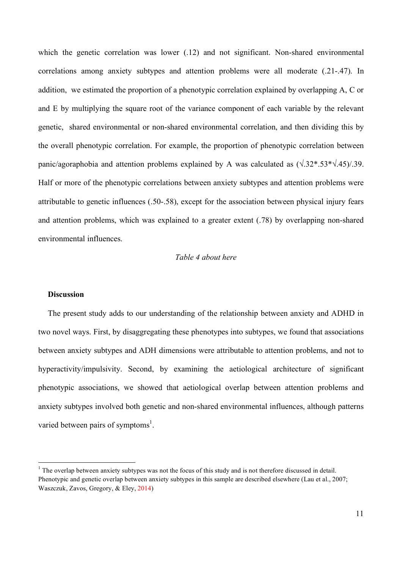which the genetic correlation was lower (.12) and not significant. Non-shared environmental correlations among anxiety subtypes and attention problems were all moderate (.21-.47). In addition, we estimated the proportion of a phenotypic correlation explained by overlapping A, C or and E by multiplying the square root of the variance component of each variable by the relevant genetic, shared environmental or non-shared environmental correlation, and then dividing this by the overall phenotypic correlation. For example, the proportion of phenotypic correlation between panic/agoraphobia and attention problems explained by A was calculated as  $(\sqrt{.32^* \cdot 53^* \sqrt{.45}})/.39$ . Half or more of the phenotypic correlations between anxiety subtypes and attention problems were attributable to genetic influences (.50-.58), except for the association between physical injury fears and attention problems, which was explained to a greater extent (.78) by overlapping non-shared environmental influences.

#### *Table 4 about here*

#### **Discussion**

The present study adds to our understanding of the relationship between anxiety and ADHD in two novel ways. First, by disaggregating these phenotypes into subtypes, we found that associations between anxiety subtypes and ADH dimensions were attributable to attention problems, and not to hyperactivity/impulsivity. Second, by examining the aetiological architecture of significant phenotypic associations, we showed that aetiological overlap between attention problems and anxiety subtypes involved both genetic and non-shared environmental influences, although patterns varied between pairs of symptoms<sup>1</sup>.

 $\frac{1}{1}$ <sup>1</sup> The overlap between anxiety subtypes was not the focus of this study and is not therefore discussed in detail. Phenotypic and genetic overlap between anxiety subtypes in this sample are described elsewhere (Lau et al., 2007; Waszczuk, Zavos, Gregory, & Eley, 2014)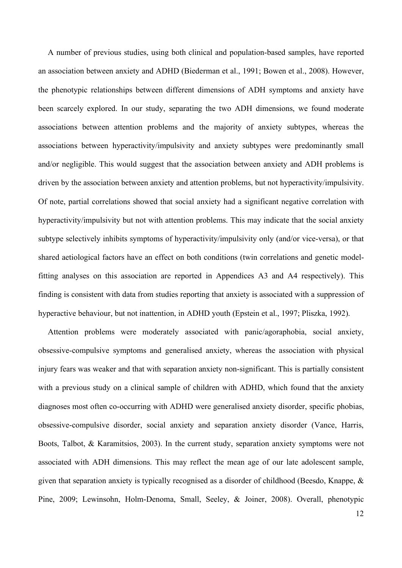A number of previous studies, using both clinical and population-based samples, have reported an association between anxiety and ADHD (Biederman et al., 1991; Bowen et al., 2008). However, the phenotypic relationships between different dimensions of ADH symptoms and anxiety have been scarcely explored. In our study, separating the two ADH dimensions, we found moderate associations between attention problems and the majority of anxiety subtypes, whereas the associations between hyperactivity/impulsivity and anxiety subtypes were predominantly small and/or negligible. This would suggest that the association between anxiety and ADH problems is driven by the association between anxiety and attention problems, but not hyperactivity/impulsivity. Of note, partial correlations showed that social anxiety had a significant negative correlation with hyperactivity/impulsivity but not with attention problems. This may indicate that the social anxiety subtype selectively inhibits symptoms of hyperactivity/impulsivity only (and/or vice-versa), or that shared aetiological factors have an effect on both conditions (twin correlations and genetic modelfitting analyses on this association are reported in Appendices A3 and A4 respectively). This finding is consistent with data from studies reporting that anxiety is associated with a suppression of hyperactive behaviour, but not inattention, in ADHD youth (Epstein et al., 1997; Pliszka, 1992).

Attention problems were moderately associated with panic/agoraphobia, social anxiety, obsessive-compulsive symptoms and generalised anxiety, whereas the association with physical injury fears was weaker and that with separation anxiety non-significant. This is partially consistent with a previous study on a clinical sample of children with ADHD, which found that the anxiety diagnoses most often co-occurring with ADHD were generalised anxiety disorder, specific phobias, obsessive-compulsive disorder, social anxiety and separation anxiety disorder (Vance, Harris, Boots, Talbot, & Karamitsios, 2003). In the current study, separation anxiety symptoms were not associated with ADH dimensions. This may reflect the mean age of our late adolescent sample, given that separation anxiety is typically recognised as a disorder of childhood (Beesdo, Knappe, & Pine, 2009; Lewinsohn, Holm-Denoma, Small, Seeley, & Joiner, 2008). Overall, phenotypic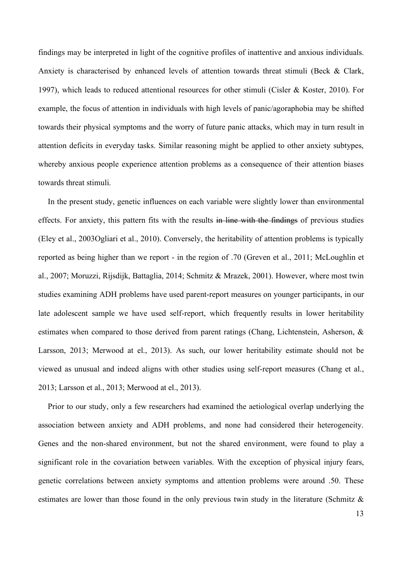findings may be interpreted in light of the cognitive profiles of inattentive and anxious individuals. Anxiety is characterised by enhanced levels of attention towards threat stimuli (Beck & Clark, 1997), which leads to reduced attentional resources for other stimuli (Cisler & Koster, 2010). For example, the focus of attention in individuals with high levels of panic/agoraphobia may be shifted towards their physical symptoms and the worry of future panic attacks, which may in turn result in attention deficits in everyday tasks. Similar reasoning might be applied to other anxiety subtypes, whereby anxious people experience attention problems as a consequence of their attention biases towards threat stimuli.

In the present study, genetic influences on each variable were slightly lower than environmental effects. For anxiety, this pattern fits with the results in line with the findings of previous studies (Eley et al., 2003Ogliari et al., 2010). Conversely, the heritability of attention problems is typically reported as being higher than we report - in the region of .70 (Greven et al., 2011; McLoughlin et al., 2007; Moruzzi, Rijsdijk, Battaglia, 2014; Schmitz & Mrazek, 2001). However, where most twin studies examining ADH problems have used parent-report measures on younger participants, in our late adolescent sample we have used self-report, which frequently results in lower heritability estimates when compared to those derived from parent ratings (Chang, Lichtenstein, Asherson, & Larsson, 2013; Merwood at el., 2013). As such, our lower heritability estimate should not be viewed as unusual and indeed aligns with other studies using self-report measures (Chang et al., 2013; Larsson et al., 2013; Merwood at el., 2013).

Prior to our study, only a few researchers had examined the aetiological overlap underlying the association between anxiety and ADH problems, and none had considered their heterogeneity. Genes and the non-shared environment, but not the shared environment, were found to play a significant role in the covariation between variables. With the exception of physical injury fears, genetic correlations between anxiety symptoms and attention problems were around .50. These estimates are lower than those found in the only previous twin study in the literature (Schmitz &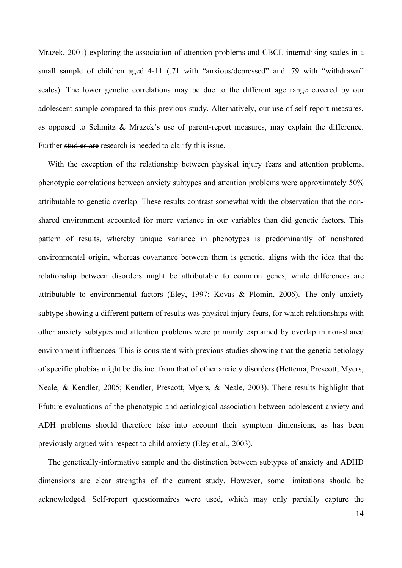Mrazek, 2001) exploring the association of attention problems and CBCL internalising scales in a small sample of children aged 4-11 (.71 with "anxious/depressed" and .79 with "withdrawn" scales). The lower genetic correlations may be due to the different age range covered by our adolescent sample compared to this previous study. Alternatively, our use of self-report measures, as opposed to Schmitz & Mrazek's use of parent-report measures, may explain the difference. Further studies are research is needed to clarify this issue.

With the exception of the relationship between physical injury fears and attention problems, phenotypic correlations between anxiety subtypes and attention problems were approximately 50% attributable to genetic overlap. These results contrast somewhat with the observation that the nonshared environment accounted for more variance in our variables than did genetic factors. This pattern of results, whereby unique variance in phenotypes is predominantly of nonshared environmental origin, whereas covariance between them is genetic, aligns with the idea that the relationship between disorders might be attributable to common genes, while differences are attributable to environmental factors (Eley, 1997; Kovas & Plomin, 2006). The only anxiety subtype showing a different pattern of results was physical injury fears, for which relationships with other anxiety subtypes and attention problems were primarily explained by overlap in non-shared environment influences. This is consistent with previous studies showing that the genetic aetiology of specific phobias might be distinct from that of other anxiety disorders (Hettema, Prescott, Myers, Neale, & Kendler, 2005; Kendler, Prescott, Myers, & Neale, 2003). There results highlight that Ffuture evaluations of the phenotypic and aetiological association between adolescent anxiety and ADH problems should therefore take into account their symptom dimensions, as has been previously argued with respect to child anxiety (Eley et al., 2003).

The genetically-informative sample and the distinction between subtypes of anxiety and ADHD dimensions are clear strengths of the current study. However, some limitations should be acknowledged. Self-report questionnaires were used, which may only partially capture the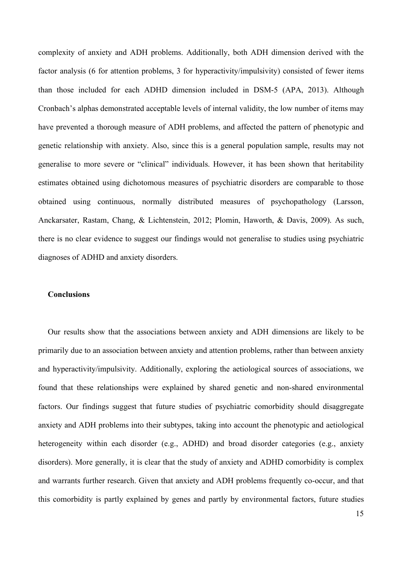complexity of anxiety and ADH problems. Additionally, both ADH dimension derived with the factor analysis (6 for attention problems, 3 for hyperactivity/impulsivity) consisted of fewer items than those included for each ADHD dimension included in DSM-5 (APA, 2013). Although Cronbach's alphas demonstrated acceptable levels of internal validity, the low number of items may have prevented a thorough measure of ADH problems, and affected the pattern of phenotypic and genetic relationship with anxiety. Also, since this is a general population sample, results may not generalise to more severe or "clinical" individuals. However, it has been shown that heritability estimates obtained using dichotomous measures of psychiatric disorders are comparable to those obtained using continuous, normally distributed measures of psychopathology (Larsson, Anckarsater, Rastam, Chang, & Lichtenstein, 2012; Plomin, Haworth, & Davis, 2009). As such, there is no clear evidence to suggest our findings would not generalise to studies using psychiatric diagnoses of ADHD and anxiety disorders.

#### **Conclusions**

Our results show that the associations between anxiety and ADH dimensions are likely to be primarily due to an association between anxiety and attention problems, rather than between anxiety and hyperactivity/impulsivity. Additionally, exploring the aetiological sources of associations, we found that these relationships were explained by shared genetic and non-shared environmental factors. Our findings suggest that future studies of psychiatric comorbidity should disaggregate anxiety and ADH problems into their subtypes, taking into account the phenotypic and aetiological heterogeneity within each disorder (e.g., ADHD) and broad disorder categories (e.g., anxiety disorders). More generally, it is clear that the study of anxiety and ADHD comorbidity is complex and warrants further research. Given that anxiety and ADH problems frequently co-occur, and that this comorbidity is partly explained by genes and partly by environmental factors, future studies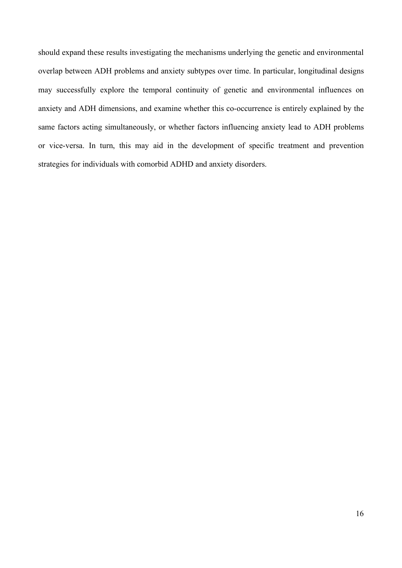should expand these results investigating the mechanisms underlying the genetic and environmental overlap between ADH problems and anxiety subtypes over time. In particular, longitudinal designs may successfully explore the temporal continuity of genetic and environmental influences on anxiety and ADH dimensions, and examine whether this co-occurrence is entirely explained by the same factors acting simultaneously, or whether factors influencing anxiety lead to ADH problems or vice-versa. In turn, this may aid in the development of specific treatment and prevention strategies for individuals with comorbid ADHD and anxiety disorders.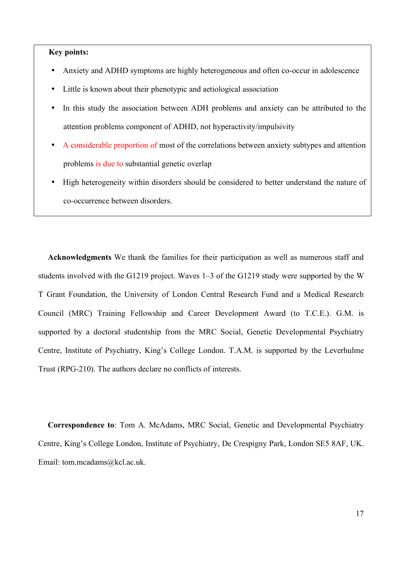## **Key points:**

- Anxiety and ADHD symptoms are highly heterogeneous and often co-occur in adolescence
- Little is known about their phenotypic and aetiological association
- In this study the association between ADH problems and anxiety can be attributed to the attention problems component of ADHD, not hyperactivity/impulsivity
- A considerable proportion of most of the correlations between anxiety subtypes and attention problems is due to substantial genetic overlap
- High heterogeneity within disorders should be considered to better understand the nature of co-occurrence between disorders.

**Acknowledgments** We thank the families for their participation as well as numerous staff and students involved with the G1219 project. Waves 1–3 of the G1219 study were supported by the W T Grant Foundation, the University of London Central Research Fund and a Medical Research Council (MRC) Training Fellowship and Career Development Award (to T.C.E.). G.M. is supported by a doctoral studentship from the MRC Social, Genetic Developmental Psychiatry Centre, Institute of Psychiatry, King's College London. T.A.M. is supported by the Leverhulme Trust (RPG-210). The authors declare no conflicts of interests.

**Correspondence to**: Tom A. McAdams, MRC Social, Genetic and Developmental Psychiatry Centre, King's College London, Institute of Psychiatry, De Crespigny Park, London SE5 8AF, UK. Email: tom.mcadams@kcl.ac.uk.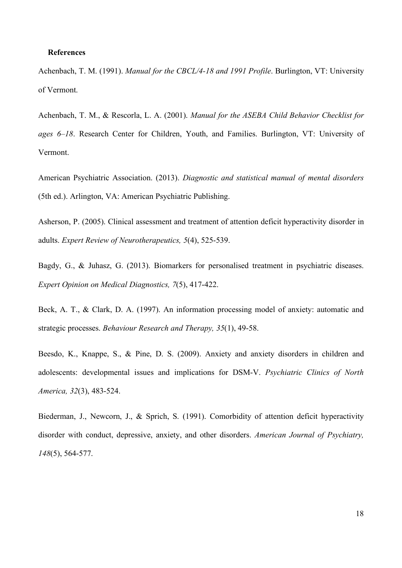#### **References**

Achenbach, T. M. (1991). *Manual for the CBCL/4-18 and 1991 Profile*. Burlington, VT: University of Vermont.

Achenbach, T. M., & Rescorla, L. A. (2001). *Manual for the ASEBA Child Behavior Checklist for ages 6–18*. Research Center for Children, Youth, and Families. Burlington, VT: University of Vermont.

American Psychiatric Association. (2013). *Diagnostic and statistical manual of mental disorders* (5th ed.). Arlington, VA: American Psychiatric Publishing.

Asherson, P. (2005). Clinical assessment and treatment of attention deficit hyperactivity disorder in adults. *Expert Review of Neurotherapeutics, 5*(4), 525-539.

Bagdy, G., & Juhasz, G. (2013). Biomarkers for personalised treatment in psychiatric diseases. *Expert Opinion on Medical Diagnostics, 7*(5), 417-422.

Beck, A. T., & Clark, D. A. (1997). An information processing model of anxiety: automatic and strategic processes. *Behaviour Research and Therapy, 35*(1), 49-58.

Beesdo, K., Knappe, S., & Pine, D. S. (2009). Anxiety and anxiety disorders in children and adolescents: developmental issues and implications for DSM-V. *Psychiatric Clinics of North America, 32*(3), 483-524.

Biederman, J., Newcorn, J., & Sprich, S. (1991). Comorbidity of attention deficit hyperactivity disorder with conduct, depressive, anxiety, and other disorders. *American Journal of Psychiatry, 148*(5), 564-577.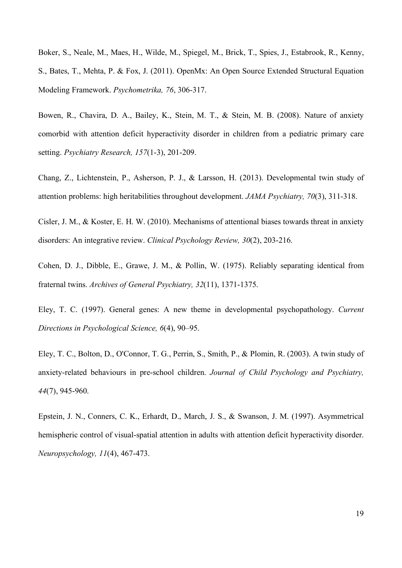Boker, S., Neale, M., Maes, H., Wilde, M., Spiegel, M., Brick, T., Spies, J., Estabrook, R., Kenny, S., Bates, T., Mehta, P. & Fox, J. (2011). OpenMx: An Open Source Extended Structural Equation Modeling Framework. *Psychometrika, 76*, 306-317.

Bowen, R., Chavira, D. A., Bailey, K., Stein, M. T., & Stein, M. B. (2008). Nature of anxiety comorbid with attention deficit hyperactivity disorder in children from a pediatric primary care setting. *Psychiatry Research, 157*(1-3), 201-209.

Chang, Z., Lichtenstein, P., Asherson, P. J., & Larsson, H. (2013). Developmental twin study of attention problems: high heritabilities throughout development. *JAMA Psychiatry, 70*(3), 311-318.

Cisler, J. M., & Koster, E. H. W. (2010). Mechanisms of attentional biases towards threat in anxiety disorders: An integrative review. *Clinical Psychology Review, 30*(2), 203-216.

Cohen, D. J., Dibble, E., Grawe, J. M., & Pollin, W. (1975). Reliably separating identical from fraternal twins. *Archives of General Psychiatry, 32*(11), 1371-1375.

Eley, T. C. (1997). General genes: A new theme in developmental psychopathology. *Current Directions in Psychological Science, 6*(4), 90–95.

Eley, T. C., Bolton, D., O'Connor, T. G., Perrin, S., Smith, P., & Plomin, R. (2003). A twin study of anxiety-related behaviours in pre-school children. *Journal of Child Psychology and Psychiatry, 44*(7), 945-960.

Epstein, J. N., Conners, C. K., Erhardt, D., March, J. S., & Swanson, J. M. (1997). Asymmetrical hemispheric control of visual-spatial attention in adults with attention deficit hyperactivity disorder. *Neuropsychology, 11*(4), 467-473.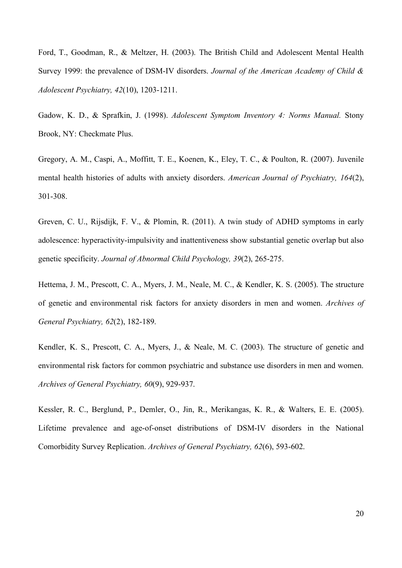Ford, T., Goodman, R., & Meltzer, H. (2003). The British Child and Adolescent Mental Health Survey 1999: the prevalence of DSM-IV disorders. *Journal of the American Academy of Child & Adolescent Psychiatry, 42*(10), 1203-1211.

Gadow, K. D., & Sprafkin, J. (1998). *Adolescent Symptom Inventory 4: Norms Manual.* Stony Brook, NY: Checkmate Plus.

Gregory, A. M., Caspi, A., Moffitt, T. E., Koenen, K., Eley, T. C., & Poulton, R. (2007). Juvenile mental health histories of adults with anxiety disorders. *American Journal of Psychiatry, 164*(2), 301-308.

Greven, C. U., Rijsdijk, F. V., & Plomin, R. (2011). A twin study of ADHD symptoms in early adolescence: hyperactivity-impulsivity and inattentiveness show substantial genetic overlap but also genetic specificity. *Journal of Abnormal Child Psychology, 39*(2), 265-275.

Hettema, J. M., Prescott, C. A., Myers, J. M., Neale, M. C., & Kendler, K. S. (2005). The structure of genetic and environmental risk factors for anxiety disorders in men and women. *Archives of General Psychiatry, 62*(2), 182-189.

Kendler, K. S., Prescott, C. A., Myers, J., & Neale, M. C. (2003). The structure of genetic and environmental risk factors for common psychiatric and substance use disorders in men and women. *Archives of General Psychiatry, 60*(9), 929-937.

Kessler, R. C., Berglund, P., Demler, O., Jin, R., Merikangas, K. R., & Walters, E. E. (2005). Lifetime prevalence and age-of-onset distributions of DSM-IV disorders in the National Comorbidity Survey Replication. *Archives of General Psychiatry, 62*(6), 593-602.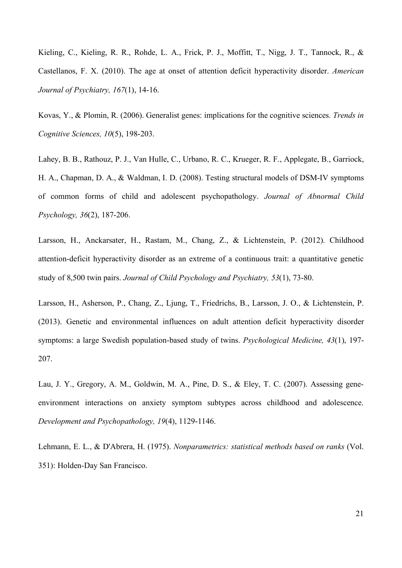Kieling, C., Kieling, R. R., Rohde, L. A., Frick, P. J., Moffitt, T., Nigg, J. T., Tannock, R., & Castellanos, F. X. (2010). The age at onset of attention deficit hyperactivity disorder. *American Journal of Psychiatry, 167*(1), 14-16.

Kovas, Y., & Plomin, R. (2006). Generalist genes: implications for the cognitive sciences. *Trends in Cognitive Sciences, 10*(5), 198-203.

Lahey, B. B., Rathouz, P. J., Van Hulle, C., Urbano, R. C., Krueger, R. F., Applegate, B., Garriock, H. A., Chapman, D. A., & Waldman, I. D. (2008). Testing structural models of DSM-IV symptoms of common forms of child and adolescent psychopathology. *Journal of Abnormal Child Psychology, 36*(2), 187-206.

Larsson, H., Anckarsater, H., Rastam, M., Chang, Z., & Lichtenstein, P. (2012). Childhood attention-deficit hyperactivity disorder as an extreme of a continuous trait: a quantitative genetic study of 8,500 twin pairs. *Journal of Child Psychology and Psychiatry, 53*(1), 73-80.

Larsson, H., Asherson, P., Chang, Z., Ljung, T., Friedrichs, B., Larsson, J. O., & Lichtenstein, P. (2013). Genetic and environmental influences on adult attention deficit hyperactivity disorder symptoms: a large Swedish population-based study of twins. *Psychological Medicine, 43*(1), 197- 207.

Lau, J. Y., Gregory, A. M., Goldwin, M. A., Pine, D. S., & Eley, T. C. (2007). Assessing geneenvironment interactions on anxiety symptom subtypes across childhood and adolescence. *Development and Psychopathology, 19*(4), 1129-1146.

Lehmann, E. L., & D'Abrera, H. (1975). *Nonparametrics: statistical methods based on ranks* (Vol. 351): Holden-Day San Francisco.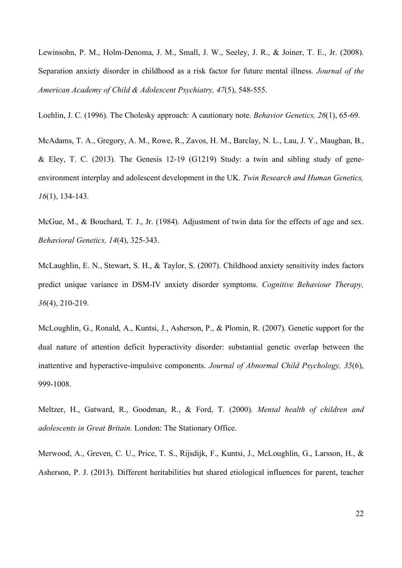Lewinsohn, P. M., Holm-Denoma, J. M., Small, J. W., Seeley, J. R., & Joiner, T. E., Jr. (2008). Separation anxiety disorder in childhood as a risk factor for future mental illness. *Journal of the American Academy of Child & Adolescent Psychiatry, 47*(5), 548-555.

Loehlin, J. C. (1996). The Cholesky approach: A cautionary note. *Behavior Genetics, 26*(1), 65-69.

McAdams, T. A., Gregory, A. M., Rowe, R., Zavos, H. M., Barclay, N. L., Lau, J. Y., Maughan, B.,  $\&$  Eley, T. C. (2013). The Genesis 12-19 (G1219) Study: a twin and sibling study of geneenvironment interplay and adolescent development in the UK. *Twin Research and Human Genetics, 16*(1), 134-143.

McGue, M., & Bouchard, T. J., Jr. (1984). Adjustment of twin data for the effects of age and sex. *Behavioral Genetics, 14*(4), 325-343.

McLaughlin, E. N., Stewart, S. H., & Taylor, S. (2007). Childhood anxiety sensitivity index factors predict unique variance in DSM-IV anxiety disorder symptoms. *Cognitive Behaviour Therapy, 36*(4), 210-219.

McLoughlin, G., Ronald, A., Kuntsi, J., Asherson, P., & Plomin, R. (2007). Genetic support for the dual nature of attention deficit hyperactivity disorder: substantial genetic overlap between the inattentive and hyperactive-impulsive components. *Journal of Abnormal Child Psychology, 35*(6), 999-1008.

Meltzer, H., Gatward, R., Goodman, R., & Ford, T. (2000). *Mental health of children and adolescents in Great Britain.* London: The Stationary Office.

Merwood, A., Greven, C. U., Price, T. S., Rijsdijk, F., Kuntsi, J., McLoughlin, G., Larsson, H., & Asherson, P. J. (2013). Different heritabilities but shared etiological influences for parent, teacher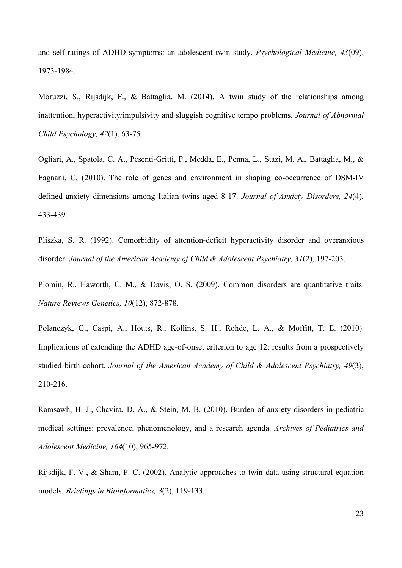and self-ratings of ADHD symptoms: an adolescent twin study. *Psychological Medicine, 43*(09), 1973-1984.

Moruzzi, S., Rijsdijk, F., & Battaglia, M. (2014). A twin study of the relationships among inattention, hyperactivity/impulsivity and sluggish cognitive tempo problems. *Journal of Abnormal Child Psychology, 42*(1), 63-75.

Ogliari, A., Spatola, C. A., Pesenti-Gritti, P., Medda, E., Penna, L., Stazi, M. A., Battaglia, M., & Fagnani, C. (2010). The role of genes and environment in shaping co-occurrence of DSM-IV defined anxiety dimensions among Italian twins aged 8-17. *Journal of Anxiety Disorders, 24*(4), 433-439.

Pliszka, S. R. (1992). Comorbidity of attention-deficit hyperactivity disorder and overanxious disorder. *Journal of the American Academy of Child & Adolescent Psychiatry, 31*(2), 197-203.

Plomin, R., Haworth, C. M., & Davis, O. S. (2009). Common disorders are quantitative traits. *Nature Reviews Genetics, 10*(12), 872-878.

Polanczyk, G., Caspi, A., Houts, R., Kollins, S. H., Rohde, L. A., & Moffitt, T. E. (2010). Implications of extending the ADHD age-of-onset criterion to age 12: results from a prospectively studied birth cohort. *Journal of the American Academy of Child & Adolescent Psychiatry, 49*(3), 210-216.

Ramsawh, H. J., Chavira, D. A., & Stein, M. B. (2010). Burden of anxiety disorders in pediatric medical settings: prevalence, phenomenology, and a research agenda. *Archives of Pediatrics and Adolescent Medicine, 164*(10), 965-972.

Rijsdijk, F. V., & Sham, P. C. (2002). Analytic approaches to twin data using structural equation models. *Briefings in Bioinformatics, 3*(2), 119-133.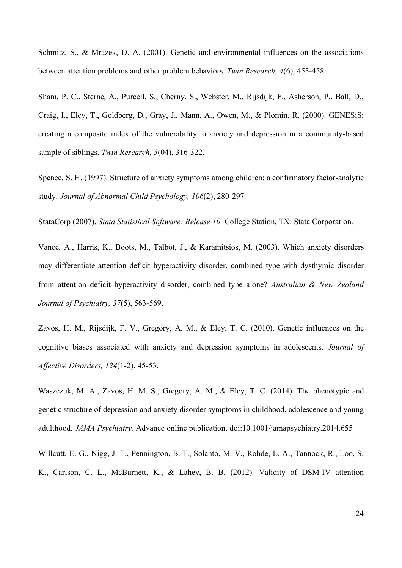Schmitz, S., & Mrazek, D. A. (2001). Genetic and environmental influences on the associations between attention problems and other problem behaviors. *Twin Research, 4*(6), 453-458.

Sham, P. C., Sterne, A., Purcell, S., Cherny, S., Webster, M., Rijsdijk, F., Asherson, P., Ball, D., Craig, I., Eley, T., Goldberg, D., Gray, J., Mann, A., Owen, M., & Plomin, R. (2000). GENESiS: creating a composite index of the vulnerability to anxiety and depression in a community-based sample of siblings. *Twin Research, 3*(04), 316-322.

Spence, S. H. (1997). Structure of anxiety symptoms among children: a confirmatory factor-analytic study. *Journal of Abnormal Child Psychology, 106*(2), 280-297.

StataCorp (2007). *Stata Statistical Software: Release 10.* College Station, TX: Stata Corporation.

Vance, A., Harris, K., Boots, M., Talbot, J., & Karamitsios, M. (2003). Which anxiety disorders may differentiate attention deficit hyperactivity disorder, combined type with dysthymic disorder from attention deficit hyperactivity disorder, combined type alone? *Australian & New Zealand Journal of Psychiatry, 37*(5), 563-569.

Zavos, H. M., Rijsdijk, F. V., Gregory, A. M., & Eley, T. C. (2010). Genetic influences on the cognitive biases associated with anxiety and depression symptoms in adolescents. *Journal of Affective Disorders, 124*(1-2), 45-53.

Waszczuk, M. A., Zavos, H. M. S., Gregory, A. M., & Eley, T. C. (2014). The phenotypic and genetic structure of depression and anxiety disorder symptoms in childhood, adolescence and young adulthood. *JAMA Psychiatry.* Advance online publication. doi:10.1001/jamapsychiatry.2014.655

Willcutt, E. G., Nigg, J. T., Pennington, B. F., Solanto, M. V., Rohde, L. A., Tannock, R., Loo, S. K., Carlson, C. L., McBurnett, K., & Lahey, B. B. (2012). Validity of DSM-IV attention